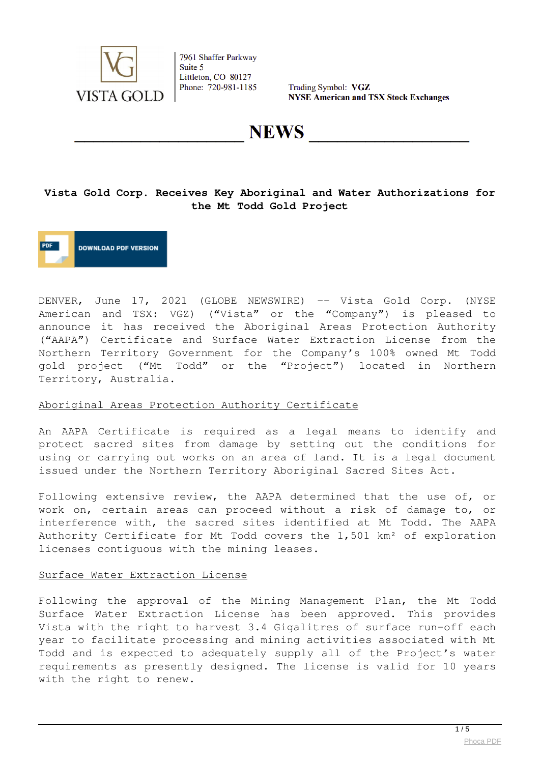

Trading Symbol: VGZ **NYSE American and TSX Stock Exchanges** 

**NEWS** 

## **Vista Gold Corp. Receives Key Aboriginal and Water Authorizations for the Mt Todd Gold Project**

**DOWNLOAD PDF VERSION** 

DENVER, June 17, 2021 (GLOBE NEWSWIRE) -- Vista Gold Corp. (NYSE American and TSX: VGZ) ("Vista" or the "Company") is pleased to announce it has received the Aboriginal Areas Protection Authority ("AAPA") Certificate and Surface Water Extraction License from the Northern Territory Government for the Company's 100% owned Mt Todd gold project ("Mt Todd" or the "Project") located in Northern Territory, Australia.

#### Aboriginal Areas Protection Authority Certificate

An AAPA Certificate is required as a legal means to identify and protect sacred sites from damage by setting out the conditions for using or carrying out works on an area of land. It is a legal document issued under the Northern Territory Aboriginal Sacred Sites Act.

Following extensive review, the AAPA determined that the use of, or work on, certain areas can proceed without a risk of damage to, or interference with, the sacred sites identified at Mt Todd. The AAPA Authority Certificate for Mt Todd covers the 1,501 km² of exploration licenses contiguous with the mining leases.

#### Surface Water Extraction License

Following the approval of the Mining Management Plan, the Mt Todd Surface Water Extraction License has been approved. This provides Vista with the right to harvest 3.4 Gigalitres of surface run-off each year to facilitate processing and mining activities associated with Mt Todd and is expected to adequately supply all of the Project's water requirements as presently designed. The license is valid for 10 years with the right to renew.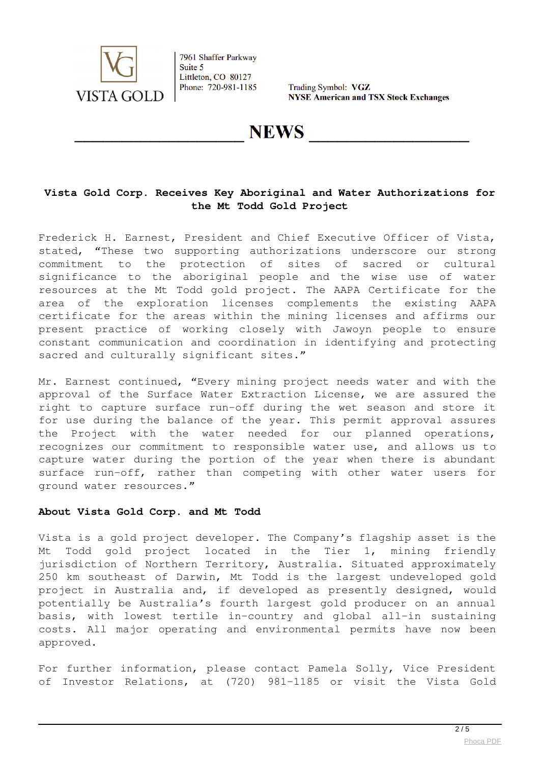

Trading Symbol: VGZ **NYSE American and TSX Stock Exchanges** 

## **NEWS**

### **Vista Gold Corp. Receives Key Aboriginal and Water Authorizations for the Mt Todd Gold Project**

Frederick H. Earnest, President and Chief Executive Officer of Vista, stated, "These two supporting authorizations underscore our strong commitment to the protection of sites of sacred or cultural significance to the aboriginal people and the wise use of water resources at the Mt Todd gold project. The AAPA Certificate for the area of the exploration licenses complements the existing AAPA certificate for the areas within the mining licenses and affirms our present practice of working closely with Jawoyn people to ensure constant communication and coordination in identifying and protecting sacred and culturally significant sites."

Mr. Earnest continued, "Every mining project needs water and with the approval of the Surface Water Extraction License, we are assured the right to capture surface run-off during the wet season and store it for use during the balance of the year. This permit approval assures the Project with the water needed for our planned operations, recognizes our commitment to responsible water use, and allows us to capture water during the portion of the year when there is abundant surface run-off, rather than competing with other water users for ground water resources."

#### **About Vista Gold Corp. and Mt Todd**

Vista is a gold project developer. The Company's flagship asset is the Mt Todd gold project located in the Tier 1, mining friendly jurisdiction of Northern Territory, Australia. Situated approximately 250 km southeast of Darwin, Mt Todd is the largest undeveloped gold project in Australia and, if developed as presently designed, would potentially be Australia's fourth largest gold producer on an annual basis, with lowest tertile in-country and global all-in sustaining costs. All major operating and environmental permits have now been approved.

For further information, please contact Pamela Solly, Vice President of Investor Relations, at (720) 981-1185 or visit the Vista Gold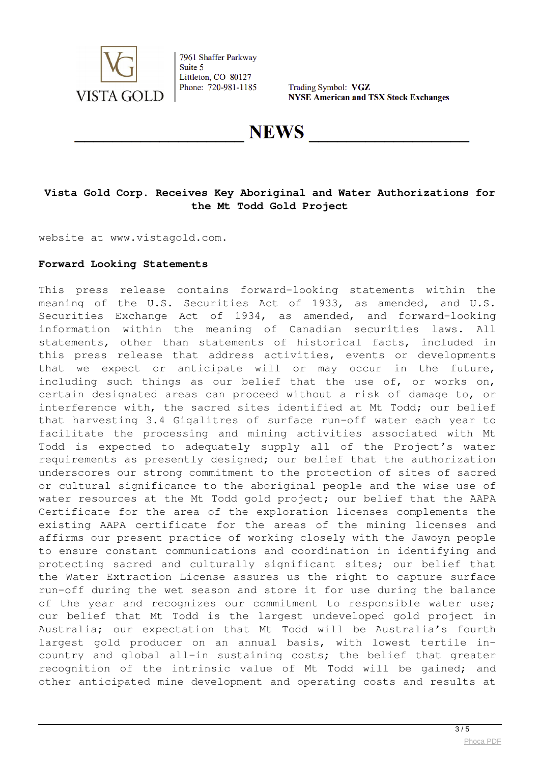

Trading Symbol: VGZ **NYSE American and TSX Stock Exchanges** 

**NEWS** 

## **Vista Gold Corp. Receives Key Aboriginal and Water Authorizations for the Mt Todd Gold Project**

website at www.vistagold.com.

#### **Forward Looking Statements**

This press release contains forward-looking statements within the meaning of the U.S. Securities Act of 1933, as amended, and U.S. Securities Exchange Act of 1934, as amended, and forward-looking information within the meaning of Canadian securities laws. All statements, other than statements of historical facts, included in this press release that address activities, events or developments that we expect or anticipate will or may occur in the future, including such things as our belief that the use of, or works on, certain designated areas can proceed without a risk of damage to, or interference with, the sacred sites identified at Mt Todd; our belief that harvesting 3.4 Gigalitres of surface run-off water each year to facilitate the processing and mining activities associated with Mt Todd is expected to adequately supply all of the Project's water requirements as presently designed; our belief that the authorization underscores our strong commitment to the protection of sites of sacred or cultural significance to the aboriginal people and the wise use of water resources at the Mt Todd gold project; our belief that the AAPA Certificate for the area of the exploration licenses complements the existing AAPA certificate for the areas of the mining licenses and affirms our present practice of working closely with the Jawoyn people to ensure constant communications and coordination in identifying and protecting sacred and culturally significant sites; our belief that the Water Extraction License assures us the right to capture surface run-off during the wet season and store it for use during the balance of the year and recognizes our commitment to responsible water use; our belief that Mt Todd is the largest undeveloped gold project in Australia; our expectation that Mt Todd will be Australia's fourth largest gold producer on an annual basis, with lowest tertile incountry and global all-in sustaining costs; the belief that greater recognition of the intrinsic value of Mt Todd will be gained; and other anticipated mine development and operating costs and results at

 $\frac{3}{5}$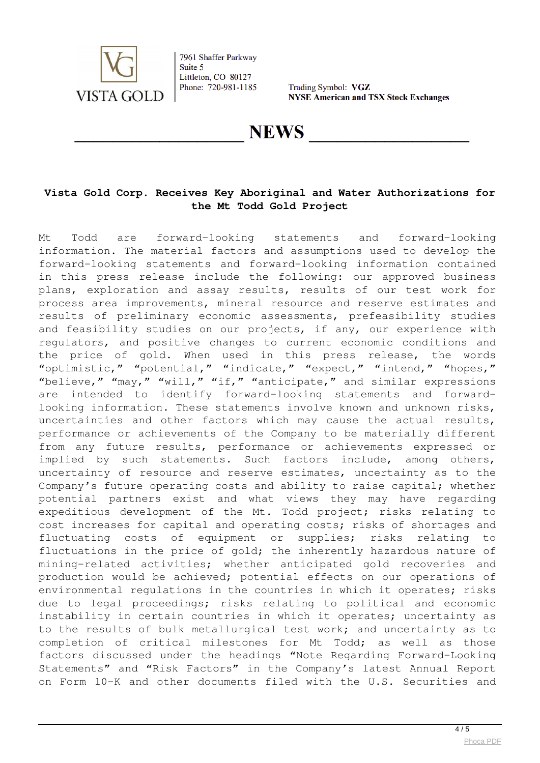

Trading Symbol: VGZ **NYSE American and TSX Stock Exchanges** 

## **NEWS**

## **Vista Gold Corp. Receives Key Aboriginal and Water Authorizations for the Mt Todd Gold Project**

Mt Todd are forward-looking statements and forward-looking information. The material factors and assumptions used to develop the forward-looking statements and forward-looking information contained in this press release include the following: our approved business plans, exploration and assay results, results of our test work for process area improvements, mineral resource and reserve estimates and results of preliminary economic assessments, prefeasibility studies and feasibility studies on our projects, if any, our experience with regulators, and positive changes to current economic conditions and the price of gold. When used in this press release, the words "optimistic," "potential," "indicate," "expect," "intend," "hopes," "believe," "may," "will," "if," "anticipate," and similar expressions are intended to identify forward-looking statements and forwardlooking information. These statements involve known and unknown risks, uncertainties and other factors which may cause the actual results, performance or achievements of the Company to be materially different from any future results, performance or achievements expressed or implied by such statements. Such factors include, among others, uncertainty of resource and reserve estimates, uncertainty as to the Company's future operating costs and ability to raise capital; whether potential partners exist and what views they may have regarding expeditious development of the Mt. Todd project; risks relating to cost increases for capital and operating costs; risks of shortages and fluctuating costs of equipment or supplies; risks relating to fluctuations in the price of gold; the inherently hazardous nature of mining-related activities; whether anticipated gold recoveries and production would be achieved; potential effects on our operations of environmental regulations in the countries in which it operates; risks due to legal proceedings; risks relating to political and economic instability in certain countries in which it operates; uncertainty as to the results of bulk metallurgical test work; and uncertainty as to completion of critical milestones for Mt Todd; as well as those factors discussed under the headings "Note Regarding Forward-Looking Statements" and "Risk Factors" in the Company's latest Annual Report on Form 10-K and other documents filed with the U.S. Securities and